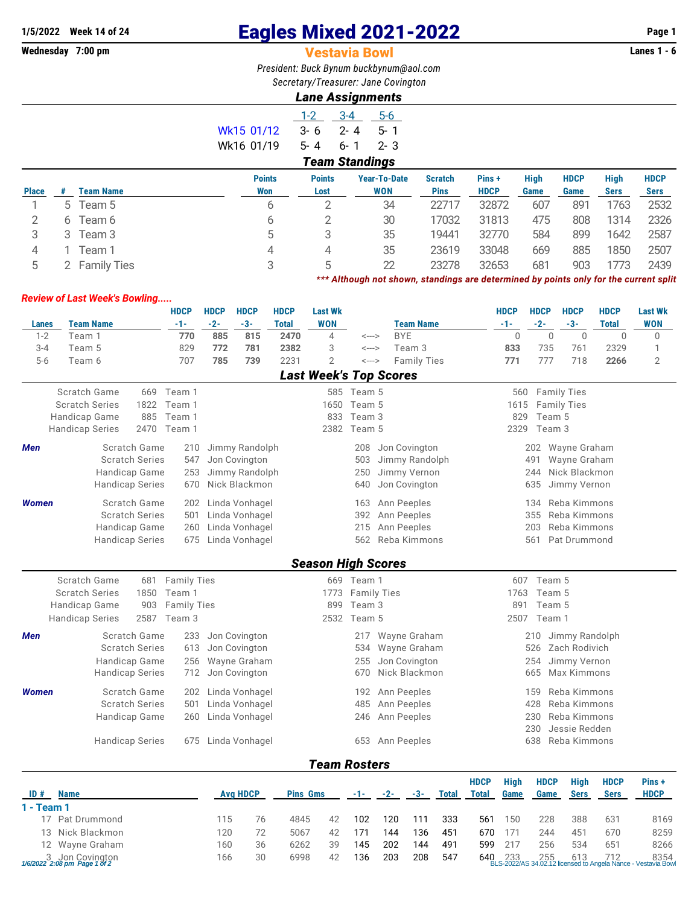## **1/5/2022** Week 14 of 24 **Eagles Mixed 2021-2022** Page 1<br>**Wednesday 7:00 pm Page 1 Vestavia Bowl Page 1 Vestavia Bowl**

## **Vestavia Bowl**

*President: Buck Bynum [buckbynum@aol.com](mailto:buckbynum@aol.com) Secretary/Treasurer: Jane Covington*

## *Lane Assignments*

| <b>Points</b><br>     | <b>Points</b><br>. |        | <b>Year-To-Date</b><br> | <b>Scratch</b><br>-- |  |  |  |  |  |  |  |  |
|-----------------------|--------------------|--------|-------------------------|----------------------|--|--|--|--|--|--|--|--|
| <b>Team Standings</b> |                    |        |                         |                      |  |  |  |  |  |  |  |  |
| Wk16 01/19            | 5-4 6-1 2-3        |        |                         |                      |  |  |  |  |  |  |  |  |
| Wk15 01/12            | $3 - 6$ $2 - 4$    |        | $-5 - 1$                |                      |  |  |  |  |  |  |  |  |
|                       | $1 - 2$            | $-3-4$ | 5-6                     |                      |  |  |  |  |  |  |  |  |

|              |       |                    | <b>Points</b> | <b>Points</b> | <b>Year-To-Date</b> | <b>Scratch</b> | Pins+       | High | <b>HDCP</b> | High | <b>HDCP</b> |
|--------------|-------|--------------------|---------------|---------------|---------------------|----------------|-------------|------|-------------|------|-------------|
| <b>Place</b> |       | Team Name          | Won           | Lost          | <b>WON</b>          | <b>Pins</b>    | <b>HDCP</b> | Game | Game        | Sers | <b>Sers</b> |
|              | $5 -$ | Team 5             | b             |               | 34                  | 22717          | 32872       | 607  | 891         | 1763 | 2532        |
|              | 6     | Team 6             | ь             |               | 30                  | 17032          | 31813       | 475  | 808         | 1314 | 2326        |
|              |       | Team 3             | 5             |               | 35                  | 19441          | 32770       | 584  | 899         | 1642 | 2587        |
| 4            |       | Feam 1             | 4             | 4             | 35                  | 23619          | 33048       | 669  | 885         | 1850 | 2507        |
|              |       | <b>Family Ties</b> |               | $\sim$        | 22                  | 23278          | 32653       | 681  | 903         |      | 2439        |

*\*\*\* Although not shown, standings are determined by points only for the current split*

## *Review of Last Week's Bowling.....*

|              |                                                |      | <b>HDCP</b>        | <b>HDCP</b> | <b>HDCP</b>                     | <b>HDCP</b>     | <b>Last Wk</b>                |             |                    |                    |              |              | <b>HDCP</b> | <b>HDCP</b> | <b>HDCP</b>                   | <b>HDCP</b>  | <b>Last Wk</b> |
|--------------|------------------------------------------------|------|--------------------|-------------|---------------------------------|-----------------|-------------------------------|-------------|--------------------|--------------------|--------------|--------------|-------------|-------------|-------------------------------|--------------|----------------|
| <b>Lanes</b> | <b>Team Name</b>                               |      | $-1-$              | $-2-$       | $-3-$                           | <b>Total</b>    | <b>WON</b>                    |             |                    | <b>Team Name</b>   |              |              | $-1-$       | $-2-$       | $-3-$                         | <b>Total</b> | <b>WON</b>     |
| $1 - 2$      | Team 1                                         |      | 770                | 885         | 815                             | 2470            | 4                             | <--->       |                    | <b>BYE</b>         |              |              | $\Omega$    | $\Omega$    | $\Omega$                      | $\Omega$     | $\Omega$       |
| $3 - 4$      | Team 5                                         |      | 829                | 772         | 781                             | 2382            | 3                             | <--->       |                    | Team 3             |              |              | 833         | 735         | 761                           | 2329         | 1              |
| $5-6$        | Team 6                                         |      | 707                | 785         | 739                             | 2231            | $\overline{2}$                | <--->       |                    | <b>Family Ties</b> |              |              | 771         | 777         | 718                           | 2266         | $\overline{2}$ |
|              |                                                |      |                    |             |                                 |                 | <b>Last Week's Top Scores</b> |             |                    |                    |              |              |             |             |                               |              |                |
|              | <b>Scratch Game</b>                            |      | 669 Team 1         |             |                                 |                 |                               | 585 Team 5  |                    |                    |              |              | 560         |             | <b>Family Ties</b>            |              |                |
|              | <b>Scratch Series</b>                          |      | 1822 Team 1        |             |                                 |                 |                               | 1650 Team 5 |                    |                    |              |              | 1615        |             | <b>Family Ties</b>            |              |                |
|              | Handicap Game                                  | 885  | Team 1             |             |                                 |                 | 833                           | Team 3      |                    |                    |              |              | 829         | Team 5      |                               |              |                |
|              | <b>Handicap Series</b>                         | 2470 | Team 1             |             |                                 |                 | 2382                          | Team 5      |                    |                    |              |              | 2329        | Team 3      |                               |              |                |
| <b>Men</b>   | Scratch Game                                   |      | 210                |             |                                 |                 |                               | 208         |                    | Jon Covington      |              |              |             | 202         | Wayne Graham                  |              |                |
|              | <b>Scratch Series</b>                          |      | 547                |             | Jimmy Randolph<br>Jon Covington |                 |                               | 503         |                    | Jimmy Randolph     |              |              |             | 491         |                               |              |                |
|              |                                                |      |                    |             | Jimmy Randolph                  |                 |                               |             |                    | Jimmy Vernon       |              |              |             | 244         | Wayne Graham<br>Nick Blackmon |              |                |
|              | <b>Handicap Game</b><br><b>Handicap Series</b> |      | 253<br>670         |             | Nick Blackmon                   |                 |                               | 250<br>640  |                    | Jon Covington      |              |              |             |             |                               |              |                |
|              |                                                |      |                    |             |                                 |                 |                               |             |                    |                    |              |              |             | 635         | Jimmy Vernon                  |              |                |
| <b>Women</b> | Scratch Game                                   |      | 202                |             | Linda Vonhagel                  |                 |                               | 163         |                    | Ann Peeples        |              |              |             | 134         | Reba Kimmons                  |              |                |
|              | <b>Scratch Series</b>                          |      | 501                |             | Linda Vonhagel                  |                 |                               | 392         |                    | Ann Peeples        |              |              |             | 355         | Reba Kimmons                  |              |                |
|              | Handicap Game                                  |      | 260                |             | Linda Vonhagel                  |                 |                               | 215         |                    | Ann Peeples        |              |              |             | 203         | Reba Kimmons                  |              |                |
|              | <b>Handicap Series</b>                         |      | 675                |             | Linda Vonhagel                  |                 |                               | 562         |                    | Reba Kimmons       |              |              |             | 561         | Pat Drummond                  |              |                |
|              |                                                |      |                    |             |                                 |                 |                               |             |                    |                    |              |              |             |             |                               |              |                |
|              |                                                |      |                    |             |                                 |                 | <b>Season High Scores</b>     |             |                    |                    |              |              |             |             |                               |              |                |
|              | <b>Scratch Game</b>                            | 681  | <b>Family Ties</b> |             |                                 |                 |                               | 669 Team 1  |                    |                    |              |              | 607         | Team 5      |                               |              |                |
|              | <b>Scratch Series</b>                          | 1850 | Team 1             |             |                                 |                 | 1773                          |             | <b>Family Ties</b> |                    |              |              | 1763        | Team 5      |                               |              |                |
|              | Handicap Game                                  | 903  | <b>Family Ties</b> |             |                                 |                 | 899                           | Team 3      |                    |                    |              |              | 891         | Team 5      |                               |              |                |
|              | <b>Handicap Series</b>                         | 2587 | Team 3             |             |                                 |                 | 2532                          | Team 5      |                    |                    |              |              | 2507        | Team 1      |                               |              |                |
| Men          | Scratch Game                                   |      | 233                |             | Jon Covington                   |                 |                               | 217         |                    | Wayne Graham       |              |              |             | 210         | Jimmy Randolph                |              |                |
|              | <b>Scratch Series</b>                          |      | 613                |             | Jon Covington                   |                 |                               | 534         |                    | Wayne Graham       |              |              |             | 526         | Zach Rodivich                 |              |                |
|              | Handicap Game                                  |      | 256                |             | Wayne Graham                    |                 |                               | 255         |                    | Jon Covington      |              |              |             | 254         | Jimmy Vernon                  |              |                |
|              | <b>Handicap Series</b>                         |      | 712                |             | Jon Covington                   |                 |                               | 670         |                    | Nick Blackmon      |              |              |             | 665         | Max Kimmons                   |              |                |
| <b>Women</b> | Scratch Game                                   |      | 202                |             | Linda Vonhagel                  |                 |                               | 192         |                    | Ann Peeples        |              |              |             | 159         | Reba Kimmons                  |              |                |
|              | <b>Scratch Series</b>                          |      | 501                |             | Linda Vonhagel                  |                 |                               | 485         |                    | Ann Peeples        |              |              |             | 428         | Reba Kimmons                  |              |                |
|              | Handicap Game                                  |      | 260                |             | Linda Vonhagel                  |                 |                               | 246         |                    | Ann Peeples        |              |              |             | 230         | Reba Kimmons                  |              |                |
|              |                                                |      |                    |             |                                 |                 |                               |             |                    |                    |              |              |             | 230         | Jessie Redden                 |              |                |
|              | <b>Handicap Series</b>                         |      | 675                |             | Linda Vonhagel                  |                 |                               | 653         |                    | Ann Peeples        |              |              |             | 638         | Reba Kimmons                  |              |                |
|              |                                                |      |                    |             |                                 |                 |                               |             |                    |                    |              |              |             |             |                               |              |                |
|              |                                                |      |                    |             |                                 |                 | <b>Team Rosters</b>           |             |                    |                    |              |              |             |             |                               |              |                |
|              |                                                |      |                    |             |                                 |                 |                               |             |                    |                    |              | <b>HDCP</b>  | <b>High</b> | <b>HDCP</b> | <b>High</b>                   | <b>HDCP</b>  | Pins+          |
| ID#          | <b>Name</b>                                    |      |                    |             | <b>Avg HDCP</b>                 | <b>Pins Gms</b> |                               | -1-         | $-2-$              | $-3-$              | <b>Total</b> | <b>Total</b> | Game        | Game        | <b>Sers</b>                   | <b>Sers</b>  | <b>HDCP</b>    |
| 1 - Team 1   |                                                |      |                    |             |                                 |                 |                               |             |                    |                    |              |              |             |             |                               |              |                |
| 17           | Pat Drummond                                   |      |                    | 115         | 76                              | 4845            | 42                            | 102         | 120                | 111                | 333          | 561          | 150         | 228         | 388                           | 631          | 8169           |
| 13           | Nick Blackmon                                  |      |                    | 120         | 72                              | 5067            | 42                            | 171         | 144                | 136                | 451          | 670          | 171         | 244         | 451                           | 670          | 8259           |
|              | 12 Wayne Graham                                |      |                    | 160         | 36                              | 6262            | 39                            | 145         | 202                | 144                | 491          | 599          | 217         | 256         | 534                           | 651          | 8266           |

3 Jon Covington 166 30 6998 42 136 203 208 547 640 233 255 613 712 8354 *1/6/2022 2:08 pm Page 1 of 2* BLS-2022/AS 34.02.12 licensed to Angela Nance - Vestavia Bowl